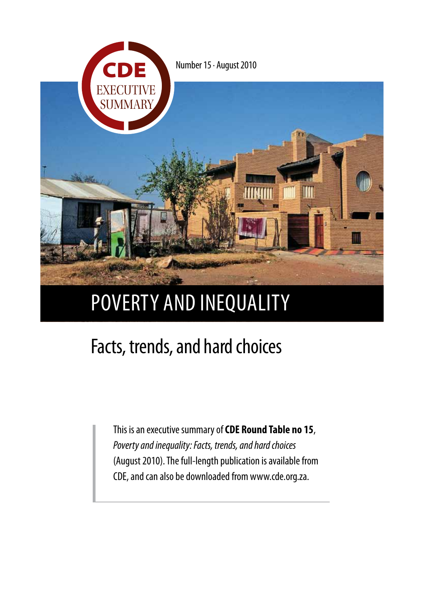

# poverty and inequality

## Facts, trends, and hard choices

This is an executive summary of **CDE Round Table no 15**, *Poverty and inequality: Facts, trends, and hard choices* (August 2010). The full-length publication is available from CDE, and can also be downloaded from www.cde.org.za.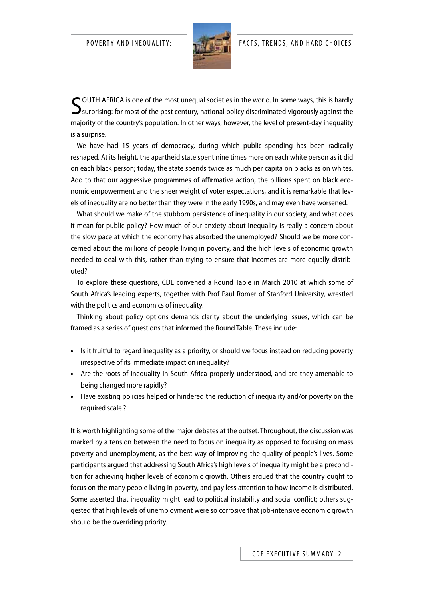

SOUTH AFRICA is one of the most unequal societies in the world. In some ways, this is hardly<br>Surprising: for most of the past century, national policy discriminated vigorously against the  $\mathbf{\mathcal{S}}$ surprising: for most of the past century, national policy discriminated vigorously against the majority of the country's population. In other ways, however, the level of present-day inequality is a surprise.

We have had 15 years of democracy, during which public spending has been radically reshaped. At its height, the apartheid state spent nine times more on each white person as it did on each black person; today, the state spends twice as much per capita on blacks as on whites. Add to that our aggressive programmes of affirmative action, the billions spent on black economic empowerment and the sheer weight of voter expectations, and it is remarkable that levels of inequality are no better than they were in the early 1990s, and may even have worsened.

What should we make of the stubborn persistence of inequality in our society, and what does it mean for public policy? How much of our anxiety about inequality is really a concern about the slow pace at which the economy has absorbed the unemployed? Should we be more concerned about the millions of people living in poverty, and the high levels of economic growth needed to deal with this, rather than trying to ensure that incomes are more equally distributed?

To explore these questions, CDE convened a Round Table in March 2010 at which some of South Africa's leading experts, together with Prof Paul Romer of Stanford University, wrestled with the politics and economics of inequality.

Thinking about policy options demands clarity about the underlying issues, which can be framed as a series of questions that informed the Round Table. These include:

- **•**  Is it fruitful to regard inequality as a priority, or should we focus instead on reducing poverty irrespective of its immediate impact on inequality?
- **•**  Are the roots of inequality in South Africa properly understood, and are they amenable to being changed more rapidly?
- **•**  Have existing policies helped or hindered the reduction of inequality and/or poverty on the required scale ?

It is worth highlighting some of the major debates at the outset. Throughout, the discussion was marked by a tension between the need to focus on inequality as opposed to focusing on mass poverty and unemployment, as the best way of improving the quality of people's lives. Some participants argued that addressing South Africa's high levels of inequality might be a precondition for achieving higher levels of economic growth. Others argued that the country ought to focus on the many people living in poverty, and pay less attention to how income is distributed. Some asserted that inequality might lead to political instability and social conflict; others suggested that high levels of unemployment were so corrosive that job-intensive economic growth should be the overriding priority.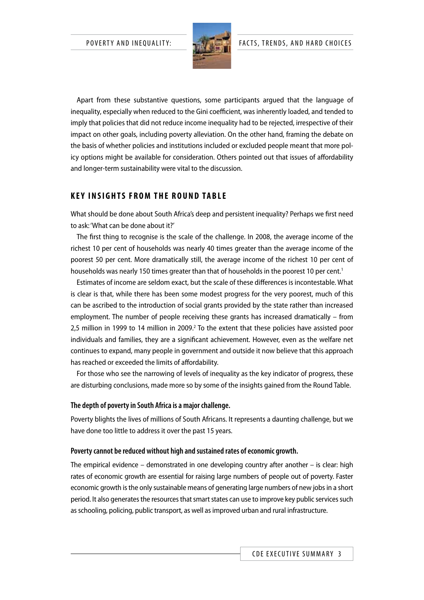

Apart from these substantive questions, some participants argued that the language of inequality, especially when reduced to the Gini coefficient, was inherently loaded, and tended to imply that policies that did not reduce income inequality had to be rejected, irrespective of their impact on other goals, including poverty alleviation. On the other hand, framing the debate on the basis of whether policies and institutions included or excluded people meant that more policy options might be available for consideration. Others pointed out that issues of affordability and longer-term sustainability were vital to the discussion.

## **K e y i n s i g hts f ro m the ro u nd ta b le**

What should be done about South Africa's deep and persistent inequality? Perhaps we first need to ask: 'What can be done about it?'

The first thing to recognise is the scale of the challenge. In 2008, the average income of the richest 10 per cent of households was nearly 40 times greater than the average income of the poorest 50 per cent. More dramatically still, the average income of the richest 10 per cent of households was nearly 150 times greater than that of households in the poorest 10 per cent.<sup>1</sup>

Estimates of income are seldom exact, but the scale of these differences is incontestable. What is clear is that, while there has been some modest progress for the very poorest, much of this can be ascribed to the introduction of social grants provided by the state rather than increased employment. The number of people receiving these grants has increased dramatically – from 2,5 million in 1999 to 14 million in 2009.<sup>2</sup> To the extent that these policies have assisted poor individuals and families, they are a significant achievement. However, even as the welfare net continues to expand, many people in government and outside it now believe that this approach has reached or exceeded the limits of affordability.

For those who see the narrowing of levels of inequality as the key indicator of progress, these are disturbing conclusions, made more so by some of the insights gained from the Round Table.

#### **The depth of poverty in South Africa is a major challenge.**

Poverty blights the lives of millions of South Africans. It represents a daunting challenge, but we have done too little to address it over the past 15 years.

#### **Poverty cannot be reduced without high and sustained rates of economic growth.**

The empirical evidence – demonstrated in one developing country after another – is clear: high rates of economic growth are essential for raising large numbers of people out of poverty. Faster economic growth is the only sustainable means of generating large numbers of new jobs in a short period. It also generates the resources that smart states can use to improve key public services such as schooling, policing, public transport, as well as improved urban and rural infrastructure.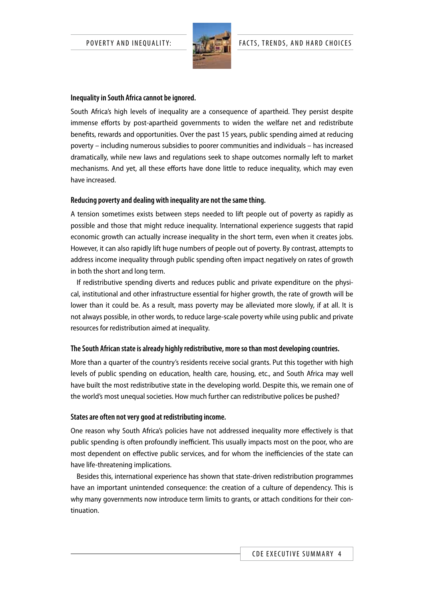

#### **Inequality in South Africa cannot be ignored.**

South Africa's high levels of inequality are a consequence of apartheid. They persist despite immense efforts by post-apartheid governments to widen the welfare net and redistribute benefits, rewards and opportunities. Over the past 15 years, public spending aimed at reducing poverty – including numerous subsidies to poorer communities and individuals – has increased dramatically, while new laws and regulations seek to shape outcomes normally left to market mechanisms. And yet, all these efforts have done little to reduce inequality, which may even have increased.

#### **Reducing poverty and dealing with inequality are not the same thing.**

A tension sometimes exists between steps needed to lift people out of poverty as rapidly as possible and those that might reduce inequality. International experience suggests that rapid economic growth can actually increase inequality in the short term, even when it creates jobs. However, it can also rapidly lift huge numbers of people out of poverty. By contrast, attempts to address income inequality through public spending often impact negatively on rates of growth in both the short and long term.

If redistributive spending diverts and reduces public and private expenditure on the physical, institutional and other infrastructure essential for higher growth, the rate of growth will be lower than it could be. As a result, mass poverty may be alleviated more slowly, if at all. It is not always possible, in other words, to reduce large-scale poverty while using public and private resources for redistribution aimed at inequality.

#### **The South African state is already highly redistributive, more so than most developing countries.**

More than a quarter of the country's residents receive social grants. Put this together with high levels of public spending on education, health care, housing, etc., and South Africa may well have built the most redistributive state in the developing world. Despite this, we remain one of the world's most unequal societies. How much further can redistributive polices be pushed?

#### **States are often not very good at redistributing income.**

One reason why South Africa's policies have not addressed inequality more effectively is that public spending is often profoundly inefficient. This usually impacts most on the poor, who are most dependent on effective public services, and for whom the inefficiencies of the state can have life-threatening implications.

Besides this, international experience has shown that state-driven redistribution programmes have an important unintended consequence: the creation of a culture of dependency. This is why many governments now introduce term limits to grants, or attach conditions for their continuation.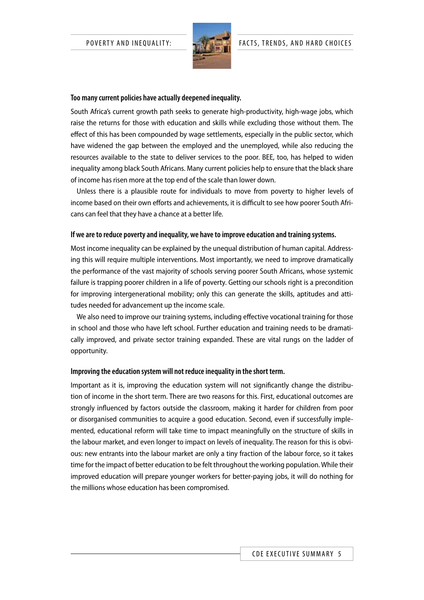

#### **Too many current policies have actually deepened inequality.**

South Africa's current growth path seeks to generate high-productivity, high-wage jobs, which raise the returns for those with education and skills while excluding those without them. The effect of this has been compounded by wage settlements, especially in the public sector, which have widened the gap between the employed and the unemployed, while also reducing the resources available to the state to deliver services to the poor. BEE, too, has helped to widen inequality among black South Africans. Many current policies help to ensure that the black share of income has risen more at the top end of the scale than lower down.

Unless there is a plausible route for individuals to move from poverty to higher levels of income based on their own efforts and achievements, it is difficult to see how poorer South Africans can feel that they have a chance at a better life.

#### **If we are to reduce poverty and inequality, we have to improve education and training systems.**

Most income inequality can be explained by the unequal distribution of human capital. Addressing this will require multiple interventions. Most importantly, we need to improve dramatically the performance of the vast majority of schools serving poorer South Africans, whose systemic failure is trapping poorer children in a life of poverty. Getting our schools right is a precondition for improving intergenerational mobility; only this can generate the skills, aptitudes and attitudes needed for advancement up the income scale.

We also need to improve our training systems, including effective vocational training for those in school and those who have left school. Further education and training needs to be dramatically improved, and private sector training expanded. These are vital rungs on the ladder of opportunity.

#### **Improving the education system will not reduce inequality in the short term.**

Important as it is, improving the education system will not significantly change the distribution of income in the short term. There are two reasons for this. First, educational outcomes are strongly influenced by factors outside the classroom, making it harder for children from poor or disorganised communities to acquire a good education. Second, even if successfully implemented, educational reform will take time to impact meaningfully on the structure of skills in the labour market, and even longer to impact on levels of inequality. The reason for this is obvious: new entrants into the labour market are only a tiny fraction of the labour force, so it takes time for the impact of better education to be felt throughout the working population. While their improved education will prepare younger workers for better-paying jobs, it will do nothing for the millions whose education has been compromised.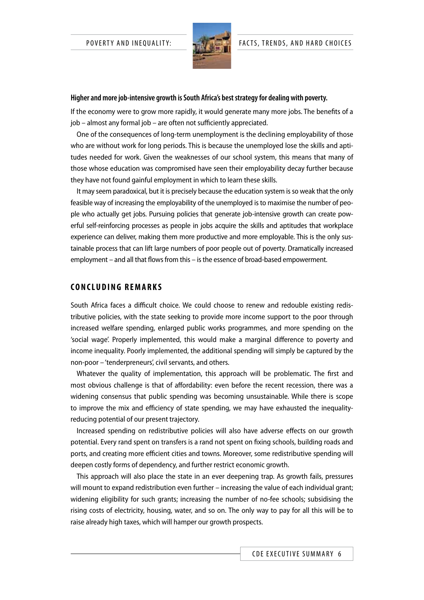

#### **Higher and more job-intensive growth is South Africa's best strategy for dealing with poverty.**

If the economy were to grow more rapidly, it would generate many more jobs. The benefits of a job – almost any formal job – are often not sufficiently appreciated.

One of the consequences of long-term unemployment is the declining employability of those who are without work for long periods. This is because the unemployed lose the skills and aptitudes needed for work. Given the weaknesses of our school system, this means that many of those whose education was compromised have seen their employability decay further because they have not found gainful employment in which to learn these skills.

It may seem paradoxical, but it is precisely because the education system is so weak that the only feasible way of increasing the employability of the unemployed is to maximise the number of people who actually get jobs. Pursuing policies that generate job-intensive growth can create powerful self-reinforcing processes as people in jobs acquire the skills and aptitudes that workplace experience can deliver, making them more productive and more employable. This is the only sustainable process that can lift large numbers of poor people out of poverty. Dramatically increased employment – and all that flows from this – is the essence of broad-based empowerment.

#### **C o ncl udi n g rem a rk s**

South Africa faces a difficult choice. We could choose to renew and redouble existing redistributive policies, with the state seeking to provide more income support to the poor through increased welfare spending, enlarged public works programmes, and more spending on the 'social wage'. Properly implemented, this would make a marginal difference to poverty and income inequality. Poorly implemented, the additional spending will simply be captured by the non-poor – 'tenderpreneurs', civil servants, and others.

Whatever the quality of implementation, this approach will be problematic. The first and most obvious challenge is that of affordability: even before the recent recession, there was a widening consensus that public spending was becoming unsustainable. While there is scope to improve the mix and efficiency of state spending, we may have exhausted the inequalityreducing potential of our present trajectory.

Increased spending on redistributive policies will also have adverse effects on our growth potential. Every rand spent on transfers is a rand not spent on fixing schools, building roads and ports, and creating more efficient cities and towns. Moreover, some redistributive spending will deepen costly forms of dependency, and further restrict economic growth.

This approach will also place the state in an ever deepening trap. As growth fails, pressures will mount to expand redistribution even further – increasing the value of each individual grant; widening eligibility for such grants; increasing the number of no-fee schools; subsidising the rising costs of electricity, housing, water, and so on. The only way to pay for all this will be to raise already high taxes, which will hamper our growth prospects.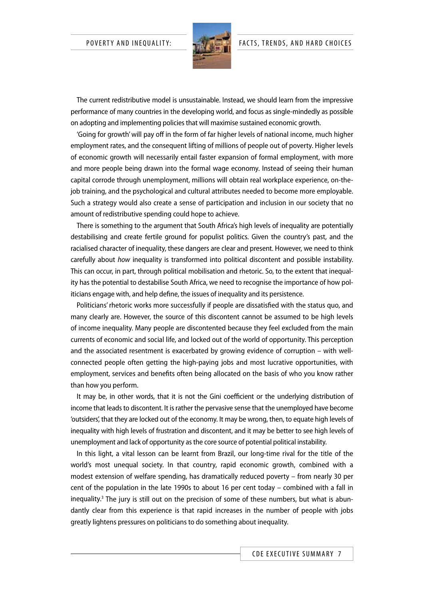

The current redistributive model is unsustainable. Instead, we should learn from the impressive performance of many countries in the developing world, and focus as single-mindedly as possible on adopting and implementing policies that will maximise sustained economic growth.

'Going for growth' will pay off in the form of far higher levels of national income, much higher employment rates, and the consequent lifting of millions of people out of poverty. Higher levels of economic growth will necessarily entail faster expansion of formal employment, with more and more people being drawn into the formal wage economy. Instead of seeing their human capital corrode through unemployment, millions will obtain real workplace experience, on-thejob training, and the psychological and cultural attributes needed to become more employable. Such a strategy would also create a sense of participation and inclusion in our society that no amount of redistributive spending could hope to achieve.

There is something to the argument that South Africa's high levels of inequality are potentially destabilising and create fertile ground for populist politics. Given the country's past, and the racialised character of inequality, these dangers are clear and present. However, we need to think carefully about *how* inequality is transformed into political discontent and possible instability. This can occur, in part, through political mobilisation and rhetoric. So, to the extent that inequality has the potential to destabilise South Africa, we need to recognise the importance of how politicians engage with, and help define, the issues of inequality and its persistence.

Politicians' rhetoric works more successfully if people are dissatisfied with the status quo, and many clearly are. However, the source of this discontent cannot be assumed to be high levels of income inequality. Many people are discontented because they feel excluded from the main currents of economic and social life, and locked out of the world of opportunity. This perception and the associated resentment is exacerbated by growing evidence of corruption – with wellconnected people often getting the high-paying jobs and most lucrative opportunities, with employment, services and benefits often being allocated on the basis of who you know rather than how you perform.

It may be, in other words, that it is not the Gini coefficient or the underlying distribution of income that leads to discontent. It is rather the pervasive sense that the unemployed have become 'outsiders', that they are locked out of the economy. It may be wrong, then, to equate high levels of inequality with high levels of frustration and discontent, and it may be better to see high levels of unemployment and lack of opportunity as the core source of potential political instability.

In this light, a vital lesson can be learnt from Brazil, our long-time rival for the title of the world's most unequal society. In that country, rapid economic growth, combined with a modest extension of welfare spending, has dramatically reduced poverty – from nearly 30 per cent of the population in the late 1990s to about 16 per cent today – combined with a fall in inequality.<sup>3</sup> The jury is still out on the precision of some of these numbers, but what is abundantly clear from this experience is that rapid increases in the number of people with jobs greatly lightens pressures on politicians to do something about inequality.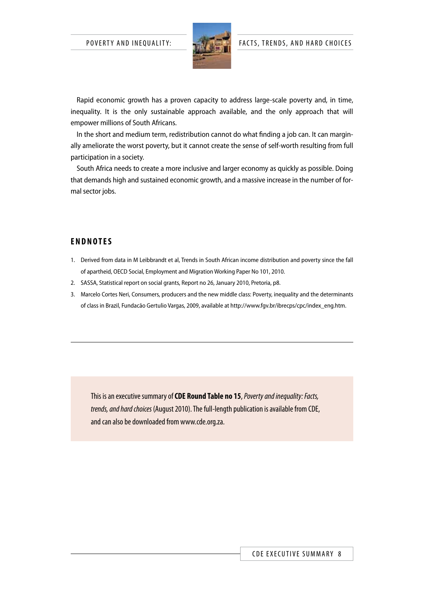

Rapid economic growth has a proven capacity to address large-scale poverty and, in time, inequality. It is the only sustainable approach available, and the only approach that will empower millions of South Africans.

In the short and medium term, redistribution cannot do what finding a job can. It can marginally ameliorate the worst poverty, but it cannot create the sense of self-worth resulting from full participation in a society.

South Africa needs to create a more inclusive and larger economy as quickly as possible. Doing that demands high and sustained economic growth, and a massive increase in the number of formal sector jobs.

### **E ndn otes**

- 1. Derived from data in M Leibbrandt et al, Trends in South African income distribution and poverty since the fall of apartheid, OECD Social, Employment and Migration Working Paper No 101, 2010.
- 2. SASSA, Statistical report on social grants, Report no 26, January 2010, Pretoria, p8.
- 3. Marcelo Cortes Neri, Consumers, producers and the new middle class: Poverty, inequality and the determinants of class in Brazil, Fundacão Gertulio Vargas, 2009, available at http://www.fgv.br/ibrecps/cpc/index\_eng.htm.

This is an executive summary of **CDE Round Table no 15**, *Poverty and inequality: Facts, trends, and hard choices* (August 2010). The full-length publication is available from CDE, and can also be downloaded from www.cde.org.za.